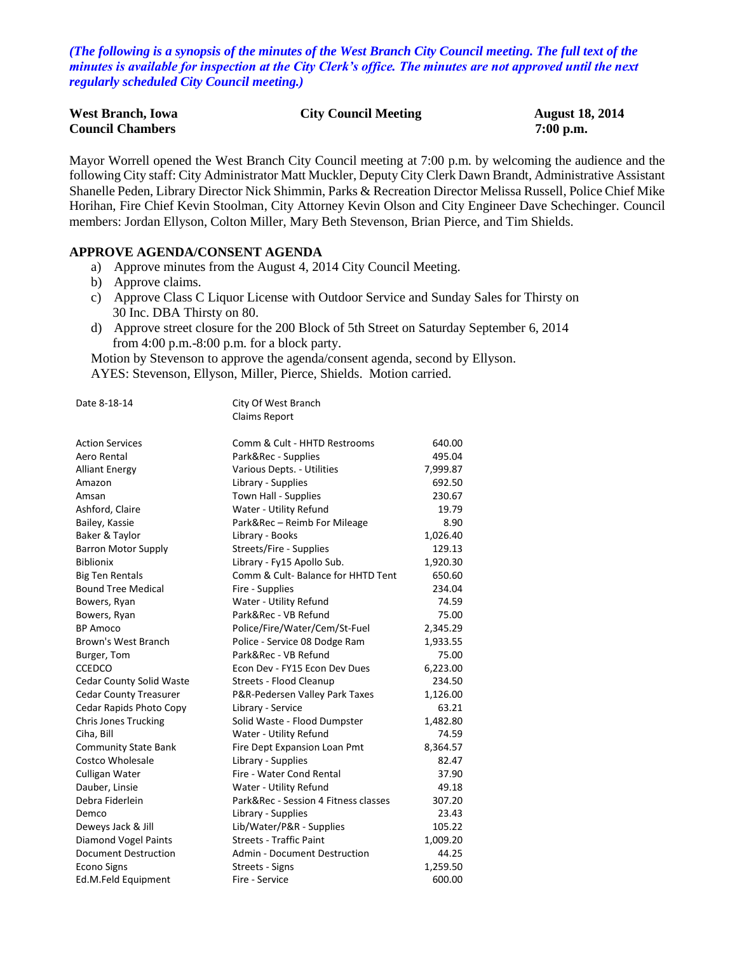*(The following is a synopsis of the minutes of the West Branch City Council meeting. The full text of the minutes is available for inspection at the City Clerk's office. The minutes are not approved until the next regularly scheduled City Council meeting.)*

| <b>West Branch, Iowa</b> | <b>City Council Meeting</b> | <b>August 18, 2014</b> |
|--------------------------|-----------------------------|------------------------|
| <b>Council Chambers</b>  |                             | $7:00$ p.m.            |

Mayor Worrell opened the West Branch City Council meeting at 7:00 p.m. by welcoming the audience and the following City staff: City Administrator Matt Muckler, Deputy City Clerk Dawn Brandt, Administrative Assistant Shanelle Peden, Library Director Nick Shimmin, Parks & Recreation Director Melissa Russell, Police Chief Mike Horihan, Fire Chief Kevin Stoolman, City Attorney Kevin Olson and City Engineer Dave Schechinger. Council members: Jordan Ellyson, Colton Miller, Mary Beth Stevenson, Brian Pierce, and Tim Shields.

#### **APPROVE AGENDA/CONSENT AGENDA**

- a) Approve minutes from the August 4, 2014 City Council Meeting.
- b) Approve claims.
- c) Approve Class C Liquor License with Outdoor Service and Sunday Sales for Thirsty on 30 Inc. DBA Thirsty on 80.
- d) Approve street closure for the 200 Block of 5th Street on Saturday September 6, 2014 from 4:00 p.m.-8:00 p.m. for a block party.

Motion by Stevenson to approve the agenda/consent agenda, second by Ellyson. AYES: Stevenson, Ellyson, Miller, Pierce, Shields. Motion carried.

Date 8-18-14 City Of West Branch Claims Report

| <b>Action Services</b>          | Comm & Cult - HHTD Restrooms         | 640.00   |
|---------------------------------|--------------------------------------|----------|
| Aero Rental                     | Park&Rec - Supplies                  | 495.04   |
| <b>Alliant Energy</b>           | Various Depts. - Utilities           | 7,999.87 |
| Amazon                          | Library - Supplies                   | 692.50   |
| Amsan                           | Town Hall - Supplies                 | 230.67   |
| Ashford, Claire                 | Water - Utility Refund               | 19.79    |
| Bailey, Kassie                  | Park&Rec – Reimb For Mileage         | 8.90     |
| Baker & Taylor                  | Library - Books                      | 1,026.40 |
| <b>Barron Motor Supply</b>      | Streets/Fire - Supplies              | 129.13   |
| <b>Biblionix</b>                | Library - Fy15 Apollo Sub.           | 1,920.30 |
| <b>Big Ten Rentals</b>          | Comm & Cult-Balance for HHTD Tent    | 650.60   |
| <b>Bound Tree Medical</b>       | Fire - Supplies                      | 234.04   |
| Bowers, Ryan                    | Water - Utility Refund               | 74.59    |
| Bowers, Ryan                    | Park&Rec - VB Refund                 | 75.00    |
| <b>BP</b> Amoco                 | Police/Fire/Water/Cem/St-Fuel        | 2,345.29 |
| Brown's West Branch             | Police - Service 08 Dodge Ram        | 1,933.55 |
| Burger, Tom                     | Park&Rec - VB Refund                 | 75.00    |
| <b>CCEDCO</b>                   | Econ Dev - FY15 Econ Dev Dues        | 6,223.00 |
| <b>Cedar County Solid Waste</b> | <b>Streets - Flood Cleanup</b>       | 234.50   |
| <b>Cedar County Treasurer</b>   | P&R-Pedersen Valley Park Taxes       | 1,126.00 |
| Cedar Rapids Photo Copy         | Library - Service                    | 63.21    |
| Chris Jones Trucking            | Solid Waste - Flood Dumpster         | 1,482.80 |
| Ciha, Bill                      | Water - Utility Refund               | 74.59    |
| <b>Community State Bank</b>     | Fire Dept Expansion Loan Pmt         | 8,364.57 |
| Costco Wholesale                | Library - Supplies                   | 82.47    |
| Culligan Water                  | Fire - Water Cond Rental             | 37.90    |
| Dauber, Linsie                  | Water - Utility Refund               | 49.18    |
| Debra Fiderlein                 | Park&Rec - Session 4 Fitness classes | 307.20   |
| Demco                           | Library - Supplies                   | 23.43    |
| Deweys Jack & Jill              | Lib/Water/P&R - Supplies             | 105.22   |
| <b>Diamond Vogel Paints</b>     | <b>Streets - Traffic Paint</b>       | 1,009.20 |
| Document Destruction            | <b>Admin - Document Destruction</b>  | 44.25    |
| <b>Econo Signs</b>              | Streets - Signs                      | 1,259.50 |
| Ed.M.Feld Equipment             | Fire - Service                       | 600.00   |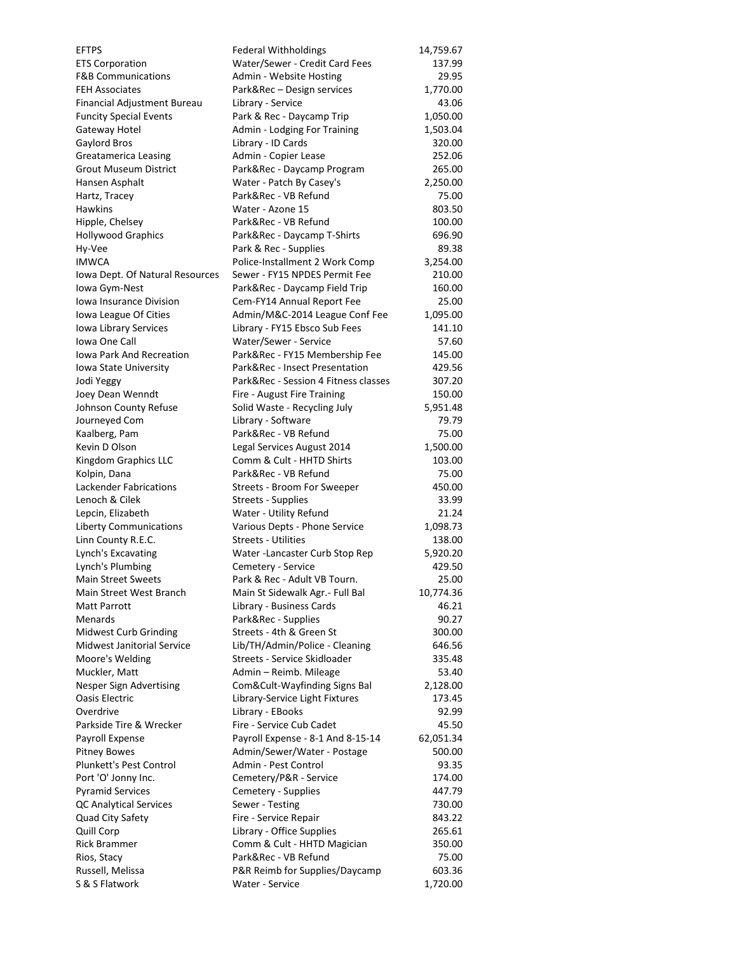| <b>EFTPS</b>                      | Federal Withholdings                 | 14,759.67 |
|-----------------------------------|--------------------------------------|-----------|
| <b>ETS Corporation</b>            | Water/Sewer - Credit Card Fees       | 137.99    |
| <b>F&amp;B Communications</b>     | Admin - Website Hosting              | 29.95     |
| <b>FEH Associates</b>             | Park&Rec - Design services           | 1,770.00  |
| Financial Adjustment Bureau       | Library - Service                    | 43.06     |
| <b>Funcity Special Events</b>     | Park & Rec - Daycamp Trip            | 1,050.00  |
| Gateway Hotel                     | Admin - Lodging For Training         | 1,503.04  |
| Gaylord Bros                      | Library - ID Cards                   | 320.00    |
| Greatamerica Leasing              | Admin - Copier Lease                 | 252.06    |
| <b>Grout Museum District</b>      | Park&Rec - Daycamp Program           | 265.00    |
| Hansen Asphalt                    | Water - Patch By Casey's             | 2,250.00  |
| Hartz, Tracey                     | Park&Rec - VB Refund                 | 75.00     |
| <b>Hawkins</b>                    | Water - Azone 15                     | 803.50    |
| Hipple, Chelsey                   | Park&Rec - VB Refund                 | 100.00    |
| <b>Hollywood Graphics</b>         | Park&Rec - Daycamp T-Shirts          | 696.90    |
| Hy-Vee                            | Park & Rec - Supplies                | 89.38     |
| <b>IMWCA</b>                      | Police-Installment 2 Work Comp       | 3,254.00  |
| Iowa Dept. Of Natural Resources   | Sewer - FY15 NPDES Permit Fee        | 210.00    |
| Iowa Gym-Nest                     | Park&Rec - Daycamp Field Trip        | 160.00    |
| Iowa Insurance Division           | Cem-FY14 Annual Report Fee           | 25.00     |
| Iowa League Of Cities             | Admin/M&C-2014 League Conf Fee       | 1,095.00  |
| Iowa Library Services             | Library - FY15 Ebsco Sub Fees        | 141.10    |
| Iowa One Call                     | Water/Sewer - Service                | 57.60     |
| <b>Iowa Park And Recreation</b>   | Park&Rec - FY15 Membership Fee       | 145.00    |
| Iowa State University             | Park&Rec - Insect Presentation       | 429.56    |
| Jodi Yeggy                        | Park&Rec - Session 4 Fitness classes | 307.20    |
| Joey Dean Wenndt                  | Fire - August Fire Training          | 150.00    |
| Johnson County Refuse             | Solid Waste - Recycling July         | 5,951.48  |
| Journeyed Com                     | Library - Software                   | 79.79     |
| Kaalberg, Pam                     | Park&Rec - VB Refund                 | 75.00     |
| Kevin D Olson                     | Legal Services August 2014           | 1,500.00  |
| Kingdom Graphics LLC              | Comm & Cult - HHTD Shirts            | 103.00    |
| Kolpin, Dana                      | Park&Rec - VB Refund                 | 75.00     |
| Lackender Fabrications            | Streets - Broom For Sweeper          | 450.00    |
| Lenoch & Cilek                    | Streets - Supplies                   | 33.99     |
| Lepcin, Elizabeth                 | Water - Utility Refund               | 21.24     |
| <b>Liberty Communications</b>     | Various Depts - Phone Service        | 1,098.73  |
| Linn County R.E.C.                | <b>Streets - Utilities</b>           | 138.00    |
| Lynch's Excavating                | Water - Lancaster Curb Stop Rep      | 5,920.20  |
| Lynch's Plumbing                  | Cemetery - Service                   | 429.50    |
| <b>Main Street Sweets</b>         | Park & Rec - Adult VB Tourn.         | 25.00     |
| Main Street West Branch           | Main St Sidewalk Agr.- Full Bal      | 10,774.36 |
| <b>Matt Parrott</b>               | Library - Business Cards             | 46.21     |
| Menards                           | Park&Rec - Supplies                  | 90.27     |
| Midwest Curb Grinding             | Streets - 4th & Green St             | 300.00    |
| <b>Midwest Janitorial Service</b> | Lib/TH/Admin/Police - Cleaning       | 646.56    |
| Moore's Welding                   | Streets - Service Skidloader         | 335.48    |
| Muckler, Matt                     | Admin - Reimb. Mileage               | 53.40     |
| Nesper Sign Advertising           | Com&Cult-Wayfinding Signs Bal        | 2,128.00  |
| Oasis Electric                    | Library-Service Light Fixtures       | 173.45    |
| Overdrive                         | Library - EBooks                     | 92.99     |
| Parkside Tire & Wrecker           | Fire - Service Cub Cadet             | 45.50     |
| Payroll Expense                   | Payroll Expense - 8-1 And 8-15-14    | 62,051.34 |
| <b>Pitney Bowes</b>               | Admin/Sewer/Water - Postage          | 500.00    |
| Plunkett's Pest Control           | Admin - Pest Control                 | 93.35     |
| Port 'O' Jonny Inc.               | Cemetery/P&R - Service               | 174.00    |
| <b>Pyramid Services</b>           | Cemetery - Supplies                  | 447.79    |
| <b>QC Analytical Services</b>     | Sewer - Testing                      | 730.00    |
| Quad City Safety                  | Fire - Service Repair                | 843.22    |
| <b>Quill Corp</b>                 | Library - Office Supplies            | 265.61    |
| <b>Rick Brammer</b>               | Comm & Cult - HHTD Magician          | 350.00    |
| Rios, Stacy                       | Park&Rec - VB Refund                 | 75.00     |
| Russell, Melissa                  | P&R Reimb for Supplies/Daycamp       | 603.36    |
| S & S Flatwork                    | Water - Service                      | 1,720.00  |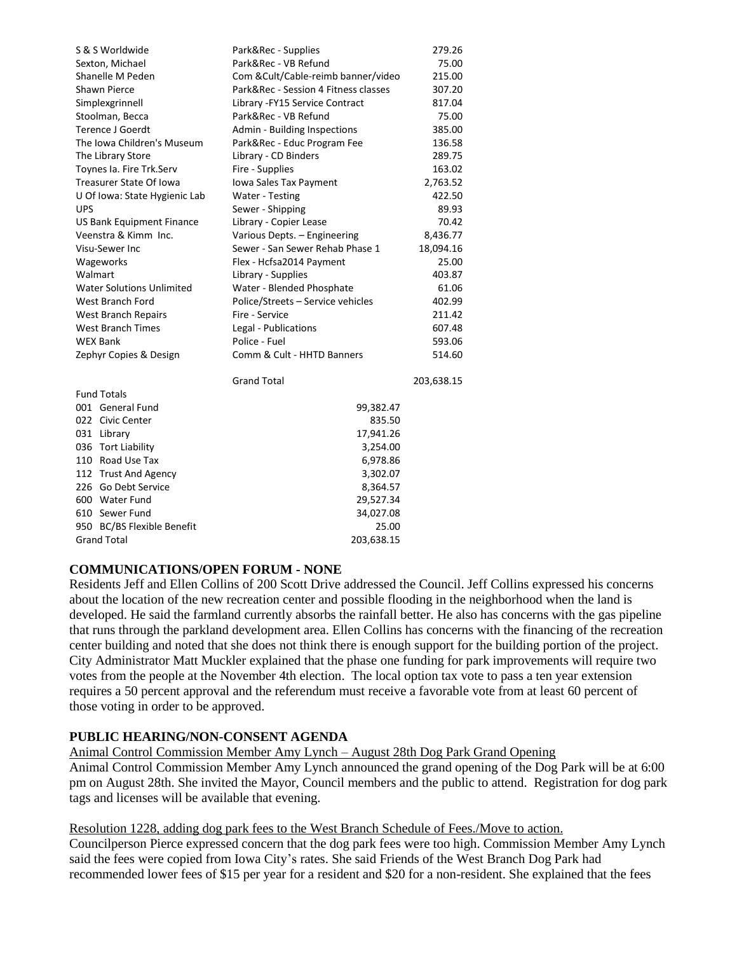| S & S Worldwide                  | Park&Rec - Supplies                  | 279.26     |
|----------------------------------|--------------------------------------|------------|
| Sexton, Michael                  | Park&Rec - VB Refund                 | 75.00      |
| Shanelle M Peden                 | Com & Cult/Cable-reimb banner/video  | 215.00     |
| Shawn Pierce                     | Park&Rec - Session 4 Fitness classes | 307.20     |
| Simplexgrinnell                  | Library - FY15 Service Contract      | 817.04     |
| Stoolman, Becca                  | Park&Rec - VB Refund                 | 75.00      |
| <b>Terence J Goerdt</b>          | Admin - Building Inspections         | 385.00     |
| The Iowa Children's Museum       | Park&Rec - Educ Program Fee          | 136.58     |
| The Library Store                | Library - CD Binders                 | 289.75     |
| Toynes Ia. Fire Trk.Serv         | Fire - Supplies                      | 163.02     |
| Treasurer State Of Iowa          | Iowa Sales Tax Payment               | 2,763.52   |
| U Of Iowa: State Hygienic Lab    | Water - Testing                      | 422.50     |
| <b>UPS</b>                       | Sewer - Shipping                     | 89.93      |
| <b>US Bank Equipment Finance</b> | Library - Copier Lease               | 70.42      |
| Veenstra & Kimm Inc.             | Various Depts. - Engineering         | 8,436.77   |
| Visu-Sewer Inc                   | Sewer - San Sewer Rehab Phase 1      | 18,094.16  |
| Wageworks                        | Flex - Hcfsa2014 Payment             | 25.00      |
| Walmart                          | Library - Supplies                   | 403.87     |
| <b>Water Solutions Unlimited</b> | Water - Blended Phosphate            | 61.06      |
| West Branch Ford                 | Police/Streets - Service vehicles    | 402.99     |
| <b>West Branch Repairs</b>       | Fire - Service                       | 211.42     |
| <b>West Branch Times</b>         | Legal - Publications                 | 607.48     |
| <b>WEX Bank</b>                  | Police - Fuel                        | 593.06     |
| Zephyr Copies & Design           | Comm & Cult - HHTD Banners           | 514.60     |
|                                  | <b>Grand Total</b>                   | 203,638.15 |
| <b>Fund Totals</b>               |                                      |            |
| 001 General Fund                 | 99,382.47                            |            |
| 022 Civic Center                 | 835.50                               |            |
| 031 Library                      | 17,941.26                            |            |
| 036 Tort Liability               | 3,254.00                             |            |
| 110 Road Use Tax                 | 6,978.86                             |            |
| 112 Trust And Agency             | 3,302.07                             |            |
| 226 Go Debt Service              | 8,364.57                             |            |
| 600 Water Fund                   | 29,527.34                            |            |
| 610 Sewer Fund                   | 34,027.08                            |            |
| 950 BC/BS Flexible Benefit       | 25.00                                |            |
| <b>Grand Total</b>               | 203,638.15                           |            |

### **COMMUNICATIONS/OPEN FORUM - NONE**

Residents Jeff and Ellen Collins of 200 Scott Drive addressed the Council. Jeff Collins expressed his concerns about the location of the new recreation center and possible flooding in the neighborhood when the land is developed. He said the farmland currently absorbs the rainfall better. He also has concerns with the gas pipeline that runs through the parkland development area. Ellen Collins has concerns with the financing of the recreation center building and noted that she does not think there is enough support for the building portion of the project. City Administrator Matt Muckler explained that the phase one funding for park improvements will require two votes from the people at the November 4th election. The local option tax vote to pass a ten year extension requires a 50 percent approval and the referendum must receive a favorable vote from at least 60 percent of those voting in order to be approved.

### **PUBLIC HEARING/NON-CONSENT AGENDA**

Animal Control Commission Member Amy Lynch – August 28th Dog Park Grand Opening

Animal Control Commission Member Amy Lynch announced the grand opening of the Dog Park will be at 6:00 pm on August 28th. She invited the Mayor, Council members and the public to attend. Registration for dog park tags and licenses will be available that evening.

Resolution 1228, adding dog park fees to the West Branch Schedule of Fees./Move to action.

Councilperson Pierce expressed concern that the dog park fees were too high. Commission Member Amy Lynch said the fees were copied from Iowa City's rates. She said Friends of the West Branch Dog Park had recommended lower fees of \$15 per year for a resident and \$20 for a non-resident. She explained that the fees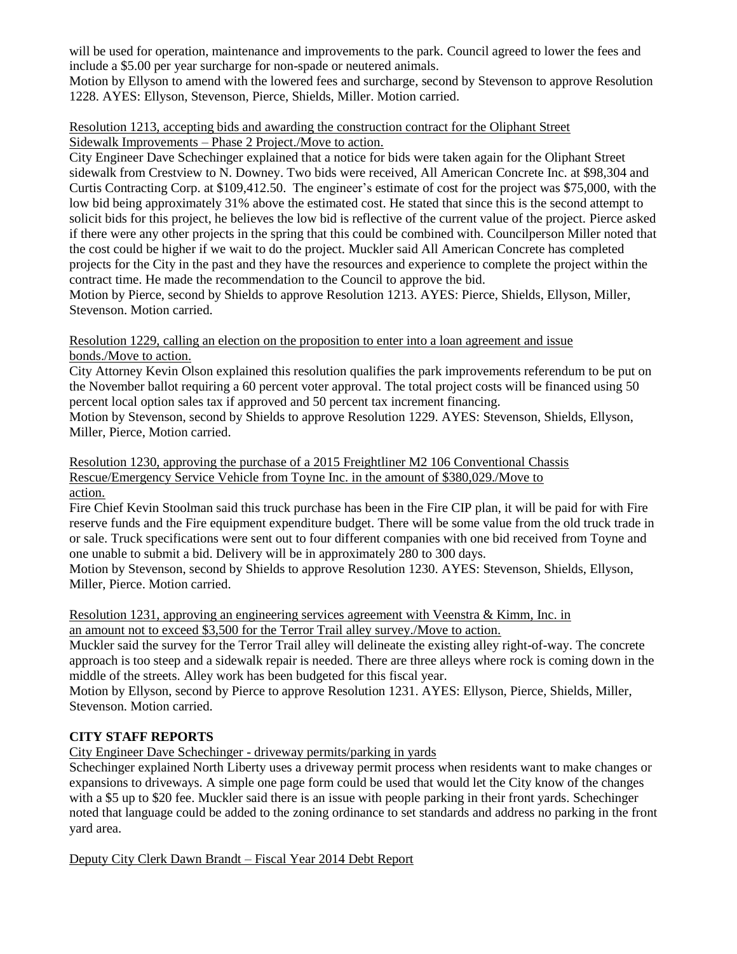will be used for operation, maintenance and improvements to the park. Council agreed to lower the fees and include a \$5.00 per year surcharge for non-spade or neutered animals.

Motion by Ellyson to amend with the lowered fees and surcharge, second by Stevenson to approve Resolution 1228. AYES: Ellyson, Stevenson, Pierce, Shields, Miller. Motion carried.

## Resolution 1213, accepting bids and awarding the construction contract for the Oliphant Street Sidewalk Improvements – Phase 2 Project./Move to action.

City Engineer Dave Schechinger explained that a notice for bids were taken again for the Oliphant Street sidewalk from Crestview to N. Downey. Two bids were received, All American Concrete Inc. at \$98,304 and Curtis Contracting Corp. at \$109,412.50. The engineer's estimate of cost for the project was \$75,000, with the low bid being approximately 31% above the estimated cost. He stated that since this is the second attempt to solicit bids for this project, he believes the low bid is reflective of the current value of the project. Pierce asked if there were any other projects in the spring that this could be combined with. Councilperson Miller noted that the cost could be higher if we wait to do the project. Muckler said All American Concrete has completed projects for the City in the past and they have the resources and experience to complete the project within the contract time. He made the recommendation to the Council to approve the bid.

Motion by Pierce, second by Shields to approve Resolution 1213. AYES: Pierce, Shields, Ellyson, Miller, Stevenson. Motion carried.

Resolution 1229, calling an election on the proposition to enter into a loan agreement and issue bonds./Move to action.

City Attorney Kevin Olson explained this resolution qualifies the park improvements referendum to be put on the November ballot requiring a 60 percent voter approval. The total project costs will be financed using 50 percent local option sales tax if approved and 50 percent tax increment financing.

Motion by Stevenson, second by Shields to approve Resolution 1229. AYES: Stevenson, Shields, Ellyson, Miller, Pierce, Motion carried.

Resolution 1230, approving the purchase of a 2015 Freightliner M2 106 Conventional Chassis Rescue/Emergency Service Vehicle from Toyne Inc. in the amount of \$380,029./Move to action.

Fire Chief Kevin Stoolman said this truck purchase has been in the Fire CIP plan, it will be paid for with Fire reserve funds and the Fire equipment expenditure budget. There will be some value from the old truck trade in or sale. Truck specifications were sent out to four different companies with one bid received from Toyne and one unable to submit a bid. Delivery will be in approximately 280 to 300 days.

Motion by Stevenson, second by Shields to approve Resolution 1230. AYES: Stevenson, Shields, Ellyson, Miller, Pierce. Motion carried.

Resolution 1231, approving an engineering services agreement with Veenstra & Kimm, Inc. in an amount not to exceed \$3,500 for the Terror Trail alley survey./Move to action.

Muckler said the survey for the Terror Trail alley will delineate the existing alley right-of-way. The concrete approach is too steep and a sidewalk repair is needed. There are three alleys where rock is coming down in the middle of the streets. Alley work has been budgeted for this fiscal year.

Motion by Ellyson, second by Pierce to approve Resolution 1231. AYES: Ellyson, Pierce, Shields, Miller, Stevenson. Motion carried.

# **CITY STAFF REPORTS**

City Engineer Dave Schechinger - driveway permits/parking in yards

Schechinger explained North Liberty uses a driveway permit process when residents want to make changes or expansions to driveways. A simple one page form could be used that would let the City know of the changes with a \$5 up to \$20 fee. Muckler said there is an issue with people parking in their front yards. Schechinger noted that language could be added to the zoning ordinance to set standards and address no parking in the front yard area.

Deputy City Clerk Dawn Brandt – Fiscal Year 2014 Debt Report